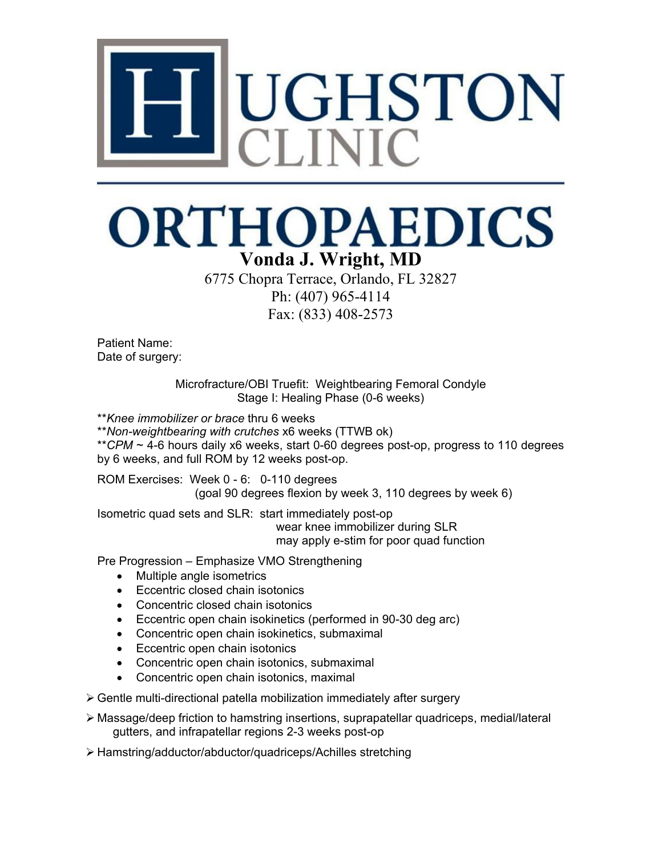

## **ORTHOPAEDICS Vonda J. Wright, MD**

6775 Chopra Terrace, Orlando, FL 32827 Ph: (407) 965-4114 Fax: (833) 408-2573

Patient Name: Date of surgery:

> Microfracture/OBI Truefit: Weightbearing Femoral Condyle Stage I: Healing Phase (0-6 weeks)

\*\**Knee immobilizer or brace* thru 6 weeks

\*\**Non-weightbearing with crutches* x6 weeks (TTWB ok)

\*\**CPM* ~ 4-6 hours daily x6 weeks, start 0-60 degrees post-op, progress to 110 degrees by 6 weeks, and full ROM by 12 weeks post-op.

ROM Exercises: Week 0 - 6: 0-110 degrees (goal 90 degrees flexion by week 3, 110 degrees by week 6)

Isometric quad sets and SLR: start immediately post-op wear knee immobilizer during SLR may apply e-stim for poor quad function

Pre Progression – Emphasize VMO Strengthening

- Multiple angle isometrics
- Eccentric closed chain isotonics
- Concentric closed chain isotonics
- Eccentric open chain isokinetics (performed in 90-30 deg arc)
- Concentric open chain isokinetics, submaximal
- Eccentric open chain isotonics
- Concentric open chain isotonics, submaximal
- Concentric open chain isotonics, maximal

Gentle multi-directional patella mobilization immediately after surgery

 Massage/deep friction to hamstring insertions, suprapatellar quadriceps, medial/lateral gutters, and infrapatellar regions 2-3 weeks post-op

Hamstring/adductor/abductor/quadriceps/Achilles stretching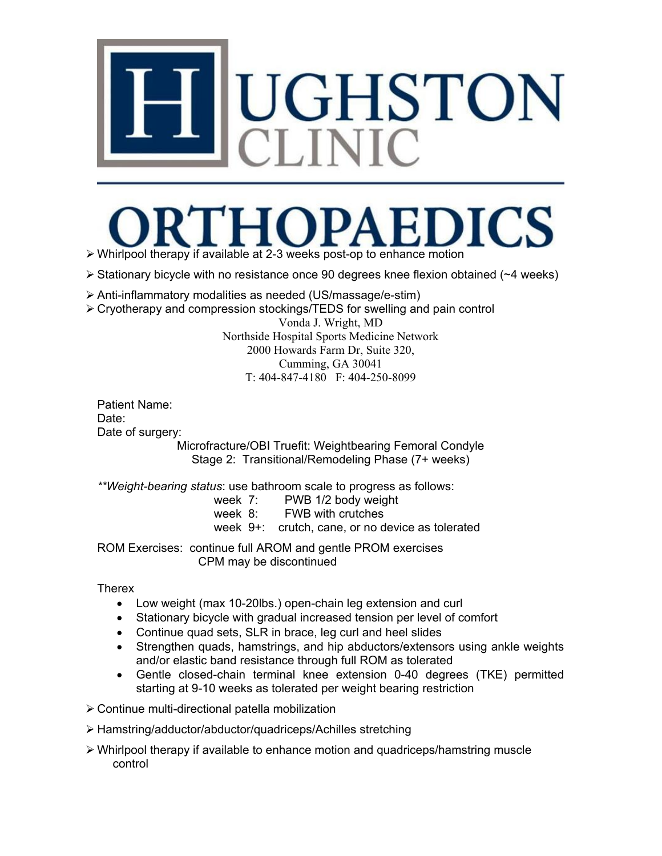## UGHSTON

## DICS Whirlpool therapy if available at 2-3 weeks post-op to enhance motion

 $\triangleright$  Stationary bicycle with no resistance once 90 degrees knee flexion obtained ( $\sim$ 4 weeks)

- Anti-inflammatory modalities as needed (US/massage/e-stim)
- Cryotherapy and compression stockings/TEDS for swelling and pain control

Vonda J. Wright, MD Northside Hospital Sports Medicine Network 2000 Howards Farm Dr, Suite 320, Cumming, GA 30041 T: 404-847-4180 F: 404-250-8099

Patient Name: Date: Date of surgery:

Microfracture/OBI Truefit: Weightbearing Femoral Condyle Stage 2: Transitional/Remodeling Phase (7+ weeks)

*\*\*Weight-bearing status*: use bathroom scale to progress as follows:

- week 7: PWB 1/2 body weight
- week 8: FWB with crutches
- week 9+: crutch, cane, or no device as tolerated

ROM Exercises: continue full AROM and gentle PROM exercises CPM may be discontinued

**Therex** 

- Low weight (max 10-20lbs.) open-chain leg extension and curl
- Stationary bicycle with gradual increased tension per level of comfort
- Continue quad sets, SLR in brace, leg curl and heel slides
- Strengthen quads, hamstrings, and hip abductors/extensors using ankle weights and/or elastic band resistance through full ROM as tolerated
- Gentle closed-chain terminal knee extension 0-40 degrees (TKE) permitted starting at 9-10 weeks as tolerated per weight bearing restriction

Continue multi-directional patella mobilization

- Hamstring/adductor/abductor/quadriceps/Achilles stretching
- $\triangleright$  Whirlpool therapy if available to enhance motion and quadriceps/hamstring muscle control